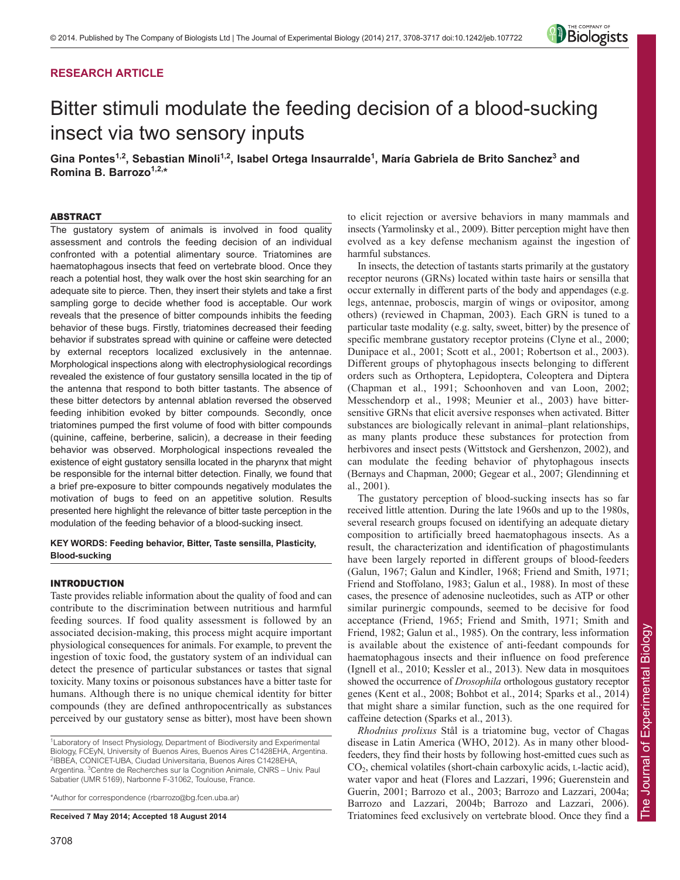# **RESEARCH ARTICLE**



# Bitter stimuli modulate the feeding decision of a blood-sucking insect via two sensory inputs

Gina Pontes<sup>1,2</sup>, Sebastian Minoli<sup>1,2</sup>, Isabel Ortega Insaurralde<sup>1</sup>, María Gabriela de Brito Sanchez<sup>3</sup> and **Romina B. Barrozo1,2,\***

## ABSTRACT

The gustatory system of animals is involved in food quality assessment and controls the feeding decision of an individual confronted with a potential alimentary source. Triatomines are haematophagous insects that feed on vertebrate blood. Once they reach a potential host, they walk over the host skin searching for an adequate site to pierce. Then, they insert their stylets and take a first sampling gorge to decide whether food is acceptable. Our work reveals that the presence of bitter compounds inhibits the feeding behavior of these bugs. Firstly, triatomines decreased their feeding behavior if substrates spread with quinine or caffeine were detected by external receptors localized exclusively in the antennae. Morphological inspections along with electrophysiological recordings revealed the existence of four gustatory sensilla located in the tip of the antenna that respond to both bitter tastants. The absence of these bitter detectors by antennal ablation reversed the observed feeding inhibition evoked by bitter compounds. Secondly, once triatomines pumped the first volume of food with bitter compounds (quinine, caffeine, berberine, salicin), a decrease in their feeding behavior was observed. Morphological inspections revealed the existence of eight gustatory sensilla located in the pharynx that might be responsible for the internal bitter detection. Finally, we found that a brief pre-exposure to bitter compounds negatively modulates the motivation of bugs to feed on an appetitive solution. Results presented here highlight the relevance of bitter taste perception in the modulation of the feeding behavior of a blood-sucking insect.

## **KEY WORDS: Feeding behavior, Bitter, Taste sensilla, Plasticity, Blood-sucking**

## INTRODUCTION

Taste provides reliable information about the quality of food and can contribute to the discrimination between nutritious and harmful feeding sources. If food quality assessment is followed by an associated decision-making, this process might acquire important physiological consequences for animals. For example, to prevent the ingestion of toxic food, the gustatory system of an individual can detect the presence of particular substances or tastes that signal toxicity. Many toxins or poisonous substances have a bitter taste for humans. Although there is no unique chemical identity for bitter compounds (they are defined anthropocentrically as substances perceived by our gustatory sense as bitter), most have been shown

\*Author for correspondence (rbarrozo@bg.fcen.uba.ar)

**Received 7 May 2014; Accepted 18 August 2014**

to elicit rejection or aversive behaviors in many mammals and insects (Yarmolinsky et al., 2009). Bitter perception might have then evolved as a key defense mechanism against the ingestion of harmful substances.

In insects, the detection of tastants starts primarily at the gustatory receptor neurons (GRNs) located within taste hairs or sensilla that occur externally in different parts of the body and appendages (e.g. legs, antennae, proboscis, margin of wings or ovipositor, among others) (reviewed in Chapman, 2003). Each GRN is tuned to a particular taste modality (e.g. salty, sweet, bitter) by the presence of specific membrane gustatory receptor proteins (Clyne et al., 2000; Dunipace et al., 2001; Scott et al., 2001; Robertson et al., 2003). Different groups of phytophagous insects belonging to different orders such as Orthoptera, Lepidoptera, Coleoptera and Diptera (Chapman et al., 1991; Schoonhoven and van Loon, 2002; Messchendorp et al., 1998; Meunier et al., 2003) have bittersensitive GRNs that elicit aversive responses when activated. Bitter substances are biologically relevant in animal–plant relationships, as many plants produce these substances for protection from herbivores and insect pests (Wittstock and Gershenzon, 2002), and can modulate the feeding behavior of phytophagous insects (Bernays and Chapman, 2000; Gegear et al., 2007; Glendinning et al., 2001).

The gustatory perception of blood-sucking insects has so far received little attention. During the late 1960s and up to the 1980s, several research groups focused on identifying an adequate dietary composition to artificially breed haematophagous insects. As a result, the characterization and identification of phagostimulants have been largely reported in different groups of blood-feeders (Galun, 1967; Galun and Kindler, 1968; Friend and Smith, 1971; Friend and Stoffolano, 1983; Galun et al., 1988). In most of these cases, the presence of adenosine nucleotides, such as ATP or other similar purinergic compounds, seemed to be decisive for food acceptance (Friend, 1965; Friend and Smith, 1971; Smith and Friend, 1982; Galun et al., 1985). On the contrary, less information is available about the existence of anti-feedant compounds for haematophagous insects and their influence on food preference (Ignell et al., 2010; Kessler et al., 2013). New data in mosquitoes showed the occurrence of *Drosophila* orthologous gustatory receptor genes (Kent et al., 2008; Bohbot et al., 2014; Sparks et al., 2014) that might share a similar function, such as the one required for caffeine detection (Sparks et al., 2013).

*Rhodnius prolixus* Stål is a triatomine bug, vector of Chagas disease in Latin America (WHO, 2012). As in many other bloodfeeders, they find their hosts by following host-emitted cues such as CO2, chemical volatiles (short-chain carboxylic acids, L-lactic acid), water vapor and heat (Flores and Lazzari, 1996; Guerenstein and Guerin, 2001; Barrozo et al., 2003; Barrozo and Lazzari, 2004a; Barrozo and Lazzari, 2004b; Barrozo and Lazzari, 2006). Triatomines feed exclusively on vertebrate blood. Once they find a

<sup>&</sup>lt;sup>1</sup> Laboratory of Insect Physiology, Department of Biodiversity and Experimental Biology, FCEyN, University of Buenos Aires, Buenos Aires C1428EHA, Argentina. 2 IBBEA, CONICET-UBA, Ciudad Universitaria, Buenos Aires C1428EHA, Argentina. <sup>3</sup> Centre de Recherches sur la Cognition Animale, CNRS - Univ. Paul Sabatier (UMR 5169), Narbonne F-31062, Toulouse, France.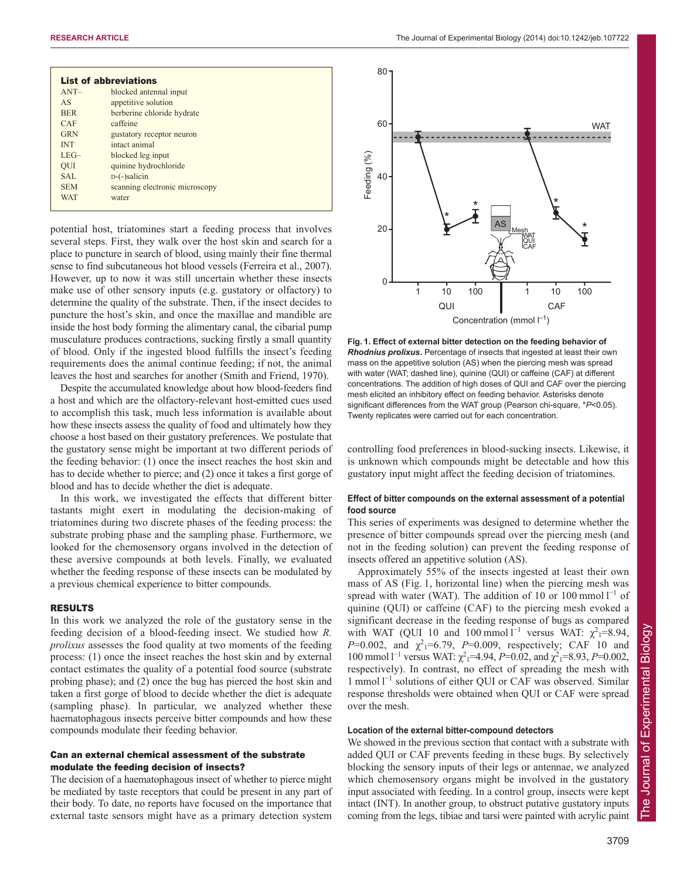| $ANT-$     | blocked antennal input         |  |
|------------|--------------------------------|--|
|            |                                |  |
| AS         | appetitive solution            |  |
| <b>BER</b> | berberine chloride hydrate     |  |
| CAF        | caffeine                       |  |
| <b>GRN</b> | gustatory receptor neuron      |  |
| <b>INT</b> | intact animal                  |  |
| $LEG-$     | blocked leg input              |  |
| <b>OUI</b> | quinine hydrochloride          |  |
| SAL        | $D$ - $(-)$ salicin            |  |
| <b>SEM</b> | scanning electronic microscopy |  |
| <b>WAT</b> | water                          |  |

potential host, triatomines start a feeding process that involves several steps. First, they walk over the host skin and search for a place to puncture in search of blood, using mainly their fine thermal sense to find subcutaneous hot blood vessels (Ferreira et al., 2007). However, up to now it was still uncertain whether these insects make use of other sensory inputs (e.g. gustatory or olfactory) to determine the quality of the substrate. Then, if the insect decides to puncture the host's skin, and once the maxillae and mandible are inside the host body forming the alimentary canal, the cibarial pump musculature produces contractions, sucking firstly a small quantity of blood. Only if the ingested blood fulfills the insect's feeding requirements does the animal continue feeding; if not, the animal leaves the host and searches for another (Smith and Friend, 1970).

Despite the accumulated knowledge about how blood-feeders find a host and which are the olfactory-relevant host-emitted cues used to accomplish this task, much less information is available about how these insects assess the quality of food and ultimately how they choose a host based on their gustatory preferences. We postulate that the gustatory sense might be important at two different periods of the feeding behavior: (1) once the insect reaches the host skin and has to decide whether to pierce; and (2) once it takes a first gorge of blood and has to decide whether the diet is adequate.

In this work, we investigated the effects that different bitter tastants might exert in modulating the decision-making of triatomines during two discrete phases of the feeding process: the substrate probing phase and the sampling phase. Furthermore, we looked for the chemosensory organs involved in the detection of these aversive compounds at both levels. Finally, we evaluated whether the feeding response of these insects can be modulated by a previous chemical experience to bitter compounds.

### RESULTS

In this work we analyzed the role of the gustatory sense in the feeding decision of a blood-feeding insect. We studied how *R. prolixus* assesses the food quality at two moments of the feeding process: (1) once the insect reaches the host skin and by external contact estimates the quality of a potential food source (substrate probing phase); and (2) once the bug has pierced the host skin and taken a first gorge of blood to decide whether the diet is adequate (sampling phase). In particular, we analyzed whether these haematophagous insects perceive bitter compounds and how these compounds modulate their feeding behavior.

# Can an external chemical assessment of the substrate modulate the feeding decision of insects?

The decision of a haematophagous insect of whether to pierce might be mediated by taste receptors that could be present in any part of their body. To date, no reports have focused on the importance that external taste sensors might have as a primary detection system



**Fig. 1. Effect of external bitter detection on the feeding behavior of** *Rhodnius prolixus***.** Percentage of insects that ingested at least their own mass on the appetitive solution (AS) when the piercing mesh was spread with water (WAT; dashed line), quinine (QUI) or caffeine (CAF) at different concentrations. The addition of high doses of QUI and CAF over the piercing mesh elicited an inhibitory effect on feeding behavior. Asterisks denote significant differences from the WAT group (Pearson chi-square, \**P*<0.05). Twenty replicates were carried out for each concentration.

controlling food preferences in blood-sucking insects. Likewise, it is unknown which compounds might be detectable and how this gustatory input might affect the feeding decision of triatomines.

## **Effect of bitter compounds on the external assessment of a potential food source**

This series of experiments was designed to determine whether the presence of bitter compounds spread over the piercing mesh (and not in the feeding solution) can prevent the feeding response of insects offered an appetitive solution (AS).

Approximately 55% of the insects ingested at least their own mass of AS (Fig. 1, horizontal line) when the piercing mesh was spread with water (WAT). The addition of 10 or 100 mmol  $l^{-1}$  of quinine (QUI) or caffeine (CAF) to the piercing mesh evoked a significant decrease in the feeding response of bugs as compared with WAT (QUI 10 and 100 mmol  $l^{-1}$  versus WAT:  $\chi^2$ <sub>1</sub>=8.94, *P*=0.002, and  $\chi^2$ <sub>1</sub>=6.79, *P*=0.009, respectively; CAF 10 and 100 mmol 1<sup>-1</sup> versus WAT:  $\chi^2$ <sub>1</sub>=4.94, *P*=0.02, and  $\chi^2$ <sub>1</sub>=8.93, *P*=0.002, respectively). In contrast, no effect of spreading the mesh with 1 mmol l<sup>-1</sup> solutions of either QUI or CAF was observed. Similar response thresholds were obtained when QUI or CAF were spread over the mesh.

## **Location of the external bitter-compound detectors**

We showed in the previous section that contact with a substrate with added QUI or CAF prevents feeding in these bugs. By selectively blocking the sensory inputs of their legs or antennae, we analyzed which chemosensory organs might be involved in the gustatory input associated with feeding. In a control group, insects were kept intact (INT). In another group, to obstruct putative gustatory inputs coming from the legs, tibiae and tarsi were painted with acrylic paint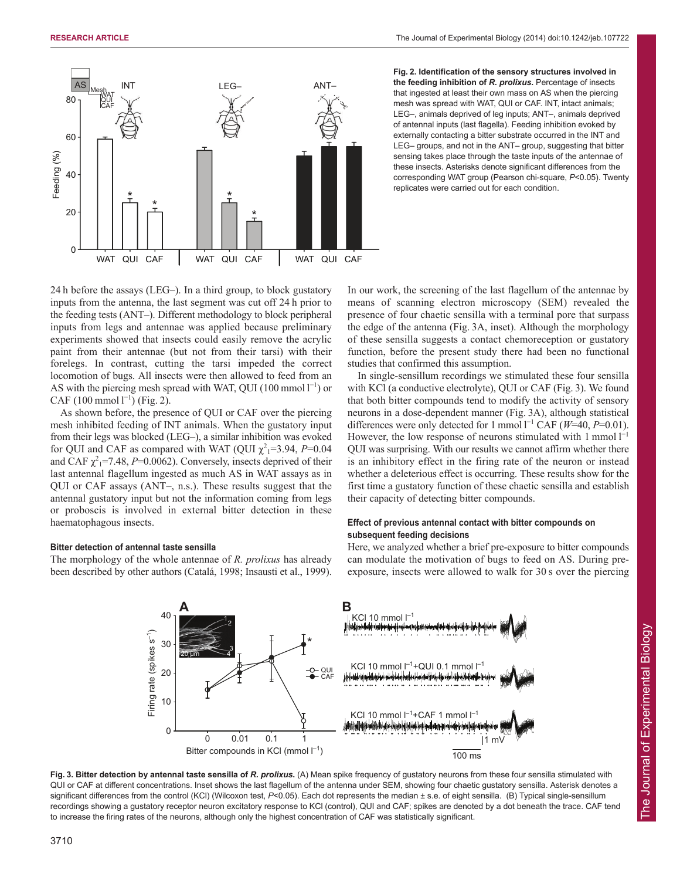

**Fig. 2. Identification of the sensory structures involved in the feeding inhibition of** *R. prolixus***.** Percentage of insects that ingested at least their own mass on AS when the piercing mesh was spread with WAT, QUI or CAF. INT, intact animals; LEG–, animals deprived of leg inputs; ANT–, animals deprived of antennal inputs (last flagella). Feeding inhibition evoked by externally contacting a bitter substrate occurred in the INT and LEG– groups, and not in the ANT– group, suggesting that bitter sensing takes place through the taste inputs of the antennae of these insects. Asterisks denote significant differences from the corresponding WAT group (Pearson chi-square, *P*<0.05). Twenty replicates were carried out for each condition.

24 h before the assays (LEG–). In a third group, to block gustatory inputs from the antenna, the last segment was cut off 24 h prior to the feeding tests (ANT–). Different methodology to block peripheral inputs from legs and antennae was applied because preliminary experiments showed that insects could easily remove the acrylic paint from their antennae (but not from their tarsi) with their forelegs. In contrast, cutting the tarsi impeded the correct locomotion of bugs. All insects were then allowed to feed from an AS with the piercing mesh spread with WAT, QUI (100 mmol  $1^{-1}$ ) or CAF  $(100 \text{ mmol } 1^{-1})$  (Fig. 2).

As shown before, the presence of QUI or CAF over the piercing mesh inhibited feeding of INT animals. When the gustatory input from their legs was blocked (LEG–), a similar inhibition was evoked for QUI and CAF as compared with WAT (QUI  $\chi^2$ <sub>1</sub>=3.94, *P*=0.04 and CAF  $\chi^2$ <sub>1</sub>=7.48, *P*=0.0062). Conversely, insects deprived of their last antennal flagellum ingested as much AS in WAT assays as in QUI or CAF assays (ANT–, n.s.). These results suggest that the antennal gustatory input but not the information coming from legs or proboscis is involved in external bitter detection in these haematophagous insects.

## **Bitter detection of antennal taste sensilla**

The morphology of the whole antennae of *R. prolixus* has already been described by other authors (Catalá, 1998; Insausti et al., 1999).

In our work, the screening of the last flagellum of the antennae by means of scanning electron microscopy (SEM) revealed the presence of four chaetic sensilla with a terminal pore that surpass the edge of the antenna (Fig. 3A, inset). Although the morphology of these sensilla suggests a contact chemoreception or gustatory function, before the present study there had been no functional studies that confirmed this assumption.

In single-sensillum recordings we stimulated these four sensilla with KCl (a conductive electrolyte), QUI or CAF (Fig. 3). We found that both bitter compounds tend to modify the activity of sensory neurons in a dose-dependent manner (Fig. 3A), although statistical differences were only detected for 1 mmol  $l^{-1}$  CAF ( $W=40$ ,  $P=0.01$ ). However, the low response of neurons stimulated with  $1$  mmol  $1^{-1}$ QUI was surprising. With our results we cannot affirm whether there is an inhibitory effect in the firing rate of the neuron or instead whether a deleterious effect is occurring. These results show for the first time a gustatory function of these chaetic sensilla and establish their capacity of detecting bitter compounds.

# **Effect of previous antennal contact with bitter compounds on subsequent feeding decisions**

Here, we analyzed whether a brief pre-exposure to bitter compounds can modulate the motivation of bugs to feed on AS. During preexposure, insects were allowed to walk for 30 s over the piercing



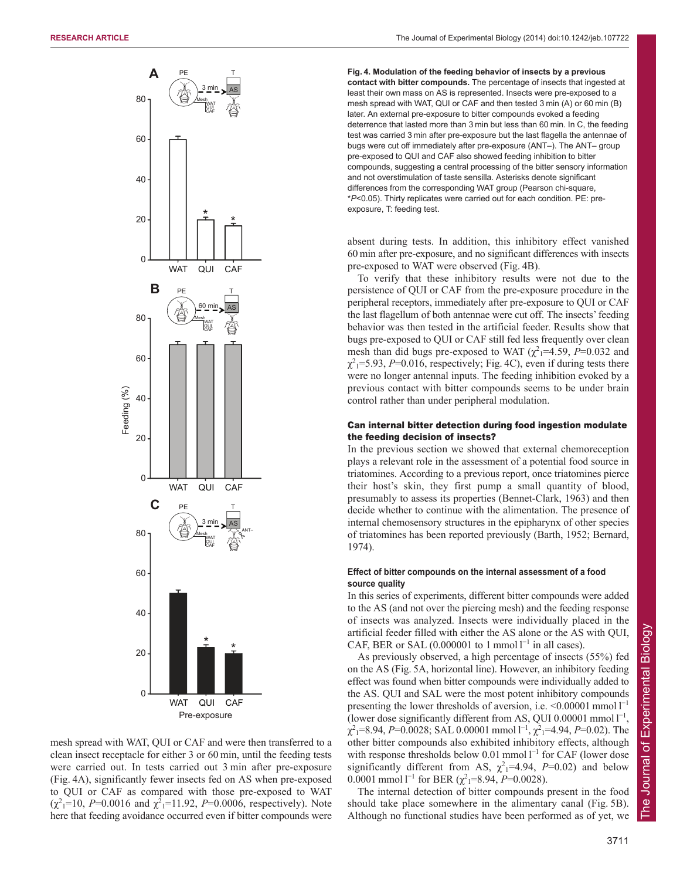

mesh spread with WAT, QUI or CAF and were then transferred to a clean insect receptacle for either 3 or 60 min, until the feeding tests were carried out. In tests carried out 3 min after pre-exposure (Fig. 4A), significantly fewer insects fed on AS when pre-exposed to QUI or CAF as compared with those pre-exposed to WAT  $(\chi^2_1 = 10, P = 0.0016$  and  $\chi^2_1 = 11.92, P = 0.0006$ , respectively). Note here that feeding avoidance occurred even if bitter compounds were **Fig. 4. Modulation of the feeding behavior of insects by a previous contact with bitter compounds.** The percentage of insects that ingested at least their own mass on AS is represented. Insects were pre-exposed to a mesh spread with WAT, QUI or CAF and then tested 3 min (A) or 60 min (B) later. An external pre-exposure to bitter compounds evoked a feeding deterrence that lasted more than 3 min but less than 60 min. In C, the feeding test was carried 3 min after pre-exposure but the last flagella the antennae of bugs were cut off immediately after pre-exposure (ANT–). The ANT– group pre-exposed to QUI and CAF also showed feeding inhibition to bitter compounds, suggesting a central processing of the bitter sensory information and not overstimulation of taste sensilla. Asterisks denote significant differences from the corresponding WAT group (Pearson chi-square, \**P*<0.05). Thirty replicates were carried out for each condition. PE: preexposure, T: feeding test.

absent during tests. In addition, this inhibitory effect vanished 60 min after pre-exposure, and no significant differences with insects pre-exposed to WAT were observed (Fig. 4B).

To verify that these inhibitory results were not due to the persistence of QUI or CAF from the pre-exposure procedure in the peripheral receptors, immediately after pre-exposure to QUI or CAF the last flagellum of both antennae were cut off. The insects' feeding behavior was then tested in the artificial feeder. Results show that bugs pre-exposed to QUI or CAF still fed less frequently over clean mesh than did bugs pre-exposed to WAT  $(\chi^2)$ =4.59, *P*=0.032 and  $\chi^2$ <sub>1</sub>=5.93, *P*=0.016, respectively; Fig. 4C), even if during tests there were no longer antennal inputs. The feeding inhibition evoked by a previous contact with bitter compounds seems to be under brain control rather than under peripheral modulation.

# Can internal bitter detection during food ingestion modulate the feeding decision of insects?

In the previous section we showed that external chemoreception plays a relevant role in the assessment of a potential food source in triatomines. According to a previous report, once triatomines pierce their host's skin, they first pump a small quantity of blood, presumably to assess its properties (Bennet-Clark, 1963) and then decide whether to continue with the alimentation. The presence of internal chemosensory structures in the epipharynx of other species of triatomines has been reported previously (Barth, 1952; Bernard, 1974).

# **Effect of bitter compounds on the internal assessment of a food source quality**

In this series of experiments, different bitter compounds were added to the AS (and not over the piercing mesh) and the feeding response of insects was analyzed. Insects were individually placed in the artificial feeder filled with either the AS alone or the AS with QUI, CAF, BER or SAL  $(0.000001$  to 1 mmol  $l^{-1}$  in all cases).

As previously observed, a high percentage of insects (55%) fed on the AS (Fig. 5A, horizontal line). However, an inhibitory feeding effect was found when bitter compounds were individually added to the AS. QUI and SAL were the most potent inhibitory compounds presenting the lower thresholds of aversion, i.e.  $\leq 0.00001$  mmol  $l^{-1}$ (lower dose significantly different from AS, QUI 0.00001 mmol  $1^{-1}$ ,  $\chi^2$ <sub>1</sub>=8.94, *P*=0.0028; SAL 0.00001 mmol  $1^{-1}$ ,  $\chi^2$ <sub>1</sub>=4.94, *P*=0.02). The other bitter compounds also exhibited inhibitory effects, although with response thresholds below  $0.01$  mmol  $l^{-1}$  for CAF (lower dose significantly different from AS,  $\chi^2$ <sub>1</sub>=4.94, P=0.02) and below 0.0001 mmol  $l^{-1}$  for BER ( $\chi^2$ <sub>1</sub>=8.94, *P*=0.0028).

The internal detection of bitter compounds present in the food should take place somewhere in the alimentary canal (Fig. 5B). Although no functional studies have been performed as of yet, we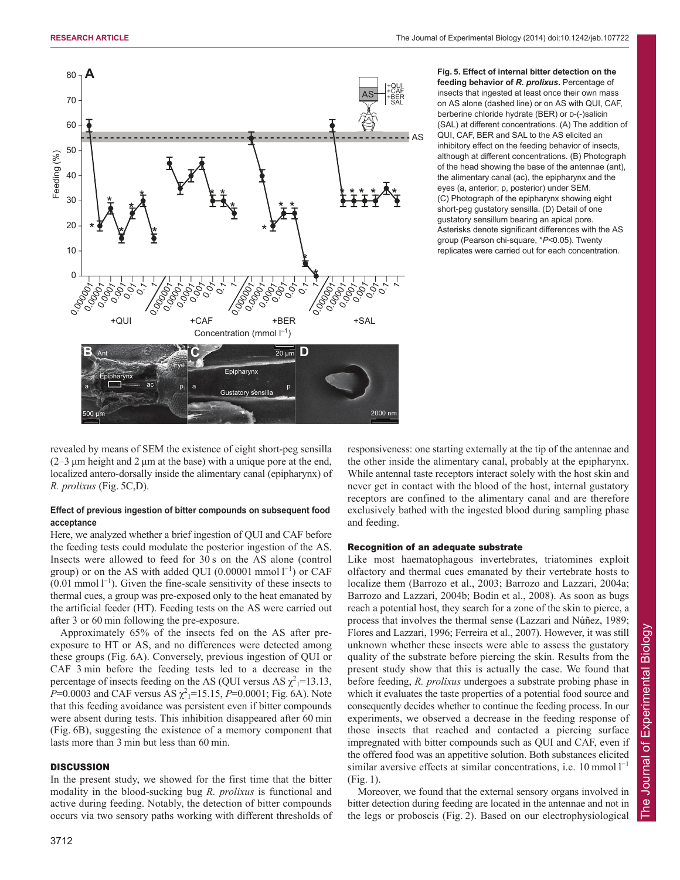

**Fig. 5. Effect of internal bitter detection on the feeding behavior of** *R. prolixus***.** Percentage of insects that ingested at least once their own mass on AS alone (dashed line) or on AS with QUI, CAF, berberine chloride hydrate (BER) or D-(-)salicin (SAL) at different concentrations. (A) The addition of QUI, CAF, BER and SAL to the AS elicited an inhibitory effect on the feeding behavior of insects, although at different concentrations. (B) Photograph of the head showing the base of the antennae (ant), the alimentary canal (ac), the epipharynx and the eyes (a, anterior; p, posterior) under SEM. (C) Photograph of the epipharynx showing eight short-peg gustatory sensilla. (D) Detail of one gustatory sensillum bearing an apical pore. Asterisks denote significant differences with the AS group (Pearson chi-square, \**P*<0.05). Twenty replicates were carried out for each concentration.

revealed by means of SEM the existence of eight short-peg sensilla  $(2-3 \mu m)$  height and 2  $\mu$ m at the base) with a unique pore at the end, localized antero-dorsally inside the alimentary canal (epipharynx) of *R. prolixus* (Fig. 5C,D).

# **Effect of previous ingestion of bitter compounds on subsequent food acceptance**

Here, we analyzed whether a brief ingestion of QUI and CAF before the feeding tests could modulate the posterior ingestion of the AS. Insects were allowed to feed for 30 s on the AS alone (control group) or on the AS with added QUI  $(0.00001 \text{ mmol l}^{-1})$  or CAF  $(0.01 \text{ mmol } 1^{-1})$ . Given the fine-scale sensitivity of these insects to thermal cues, a group was pre-exposed only to the heat emanated by the artificial feeder (HT). Feeding tests on the AS were carried out after 3 or 60 min following the pre-exposure.

Approximately 65% of the insects fed on the AS after preexposure to HT or AS, and no differences were detected among these groups (Fig. 6A). Conversely, previous ingestion of QUI or CAF 3 min before the feeding tests led to a decrease in the percentage of insects feeding on the AS (QUI versus AS  $\chi^2$ <sub>1</sub>=13.13,  $P=0.0003$  and CAF versus AS  $\chi^2$ <sub>1</sub>=15.15, *P*=0.0001; Fig. 6A). Note that this feeding avoidance was persistent even if bitter compounds were absent during tests. This inhibition disappeared after 60 min (Fig. 6B), suggesting the existence of a memory component that lasts more than 3 min but less than 60 min.

## **DISCUSSION**

In the present study, we showed for the first time that the bitter modality in the blood-sucking bug *R. prolixus* is functional and active during feeding. Notably, the detection of bitter compounds occurs via two sensory paths working with different thresholds of responsiveness: one starting externally at the tip of the antennae and the other inside the alimentary canal, probably at the epipharynx. While antennal taste receptors interact solely with the host skin and never get in contact with the blood of the host, internal gustatory receptors are confined to the alimentary canal and are therefore exclusively bathed with the ingested blood during sampling phase and feeding.

## Recognition of an adequate substrate

Like most haematophagous invertebrates, triatomines exploit olfactory and thermal cues emanated by their vertebrate hosts to localize them (Barrozo et al., 2003; Barrozo and Lazzari, 2004a; Barrozo and Lazzari, 2004b; Bodin et al., 2008). As soon as bugs reach a potential host, they search for a zone of the skin to pierce, a process that involves the thermal sense (Lazzari and Núñez, 1989; Flores and Lazzari, 1996; Ferreira et al., 2007). However, it was still unknown whether these insects were able to assess the gustatory quality of the substrate before piercing the skin. Results from the present study show that this is actually the case. We found that before feeding, *R. prolixus* undergoes a substrate probing phase in which it evaluates the taste properties of a potential food source and consequently decides whether to continue the feeding process. In our experiments, we observed a decrease in the feeding response of those insects that reached and contacted a piercing surface impregnated with bitter compounds such as QUI and CAF, even if the offered food was an appetitive solution. Both substances elicited similar aversive effects at similar concentrations, i.e.  $10 \text{ mmol } 1^{-1}$ (Fig. 1).

Moreover, we found that the external sensory organs involved in bitter detection during feeding are located in the antennae and not in the legs or proboscis (Fig. 2). Based on our electrophysiological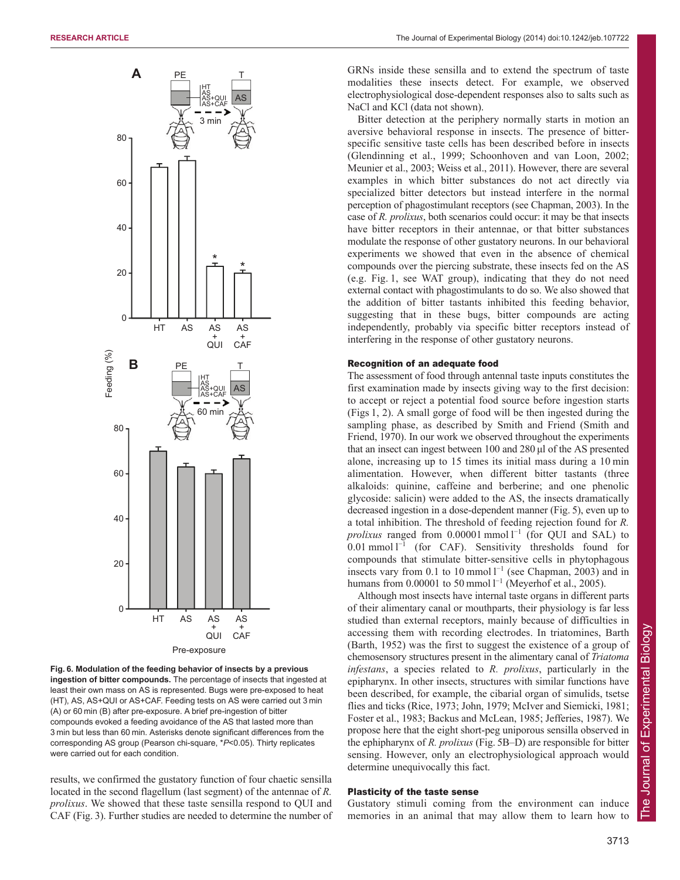

**Fig. 6. Modulation of the feeding behavior of insects by a previous ingestion of bitter compounds.** The percentage of insects that ingested at least their own mass on AS is represented. Bugs were pre-exposed to heat (HT), AS, AS+QUI or AS+CAF. Feeding tests on AS were carried out 3 min (A) or 60 min (B) after pre-exposure. A brief pre-ingestion of bitter compounds evoked a feeding avoidance of the AS that lasted more than 3 min but less than 60 min. Asterisks denote significant differences from the corresponding AS group (Pearson chi-square, \**P*<0.05). Thirty replicates were carried out for each condition.

results, we confirmed the gustatory function of four chaetic sensilla located in the second flagellum (last segment) of the antennae of *R. prolixus*. We showed that these taste sensilla respond to QUI and CAF (Fig. 3). Further studies are needed to determine the number of GRNs inside these sensilla and to extend the spectrum of taste modalities these insects detect. For example, we observed electrophysiological dose-dependent responses also to salts such as NaCl and KCl (data not shown).

Bitter detection at the periphery normally starts in motion an aversive behavioral response in insects. The presence of bitterspecific sensitive taste cells has been described before in insects (Glendinning et al., 1999; Schoonhoven and van Loon, 2002; Meunier et al., 2003; Weiss et al., 2011). However, there are several examples in which bitter substances do not act directly via specialized bitter detectors but instead interfere in the normal perception of phagostimulant receptors (see Chapman, 2003). In the case of *R. prolixus*, both scenarios could occur: it may be that insects have bitter receptors in their antennae, or that bitter substances modulate the response of other gustatory neurons. In our behavioral experiments we showed that even in the absence of chemical compounds over the piercing substrate, these insects fed on the AS (e.g. Fig. 1, see WAT group), indicating that they do not need external contact with phagostimulants to do so. We also showed that the addition of bitter tastants inhibited this feeding behavior, suggesting that in these bugs, bitter compounds are acting independently, probably via specific bitter receptors instead of interfering in the response of other gustatory neurons.

## Recognition of an adequate food

The assessment of food through antennal taste inputs constitutes the first examination made by insects giving way to the first decision: to accept or reject a potential food source before ingestion starts (Figs 1, 2). A small gorge of food will be then ingested during the sampling phase, as described by Smith and Friend (Smith and Friend, 1970). In our work we observed throughout the experiments that an insect can ingest between 100 and 280 μl of the AS presented alone, increasing up to 15 times its initial mass during a 10 min alimentation. However, when different bitter tastants (three alkaloids: quinine, caffeine and berberine; and one phenolic glycoside: salicin) were added to the AS, the insects dramatically decreased ingestion in a dose-dependent manner (Fig. 5), even up to a total inhibition. The threshold of feeding rejection found for *R. prolixus* ranged from  $0.00001$  mmol  $l^{-1}$  (for QUI and SAL) to  $0.01$  mmol  $l^{-1}$  (for CAF). Sensitivity thresholds found for compounds that stimulate bitter-sensitive cells in phytophagous insects vary from 0.1 to 10 mmol  $l^{-1}$  (see Chapman, 2003) and in humans from  $0.00001$  to 50 mmol  $l^{-1}$  (Meyerhof et al., 2005).

Although most insects have internal taste organs in different parts of their alimentary canal or mouthparts, their physiology is far less studied than external receptors, mainly because of difficulties in accessing them with recording electrodes. In triatomines, Barth (Barth, 1952) was the first to suggest the existence of a group of chemosensory structures present in the alimentary canal of *Triatoma infestans*, a species related to *R. prolixus*, particularly in the epipharynx. In other insects, structures with similar functions have been described, for example, the cibarial organ of simulids, tsetse flies and ticks (Rice, 1973; John, 1979; McIver and Siemicki, 1981; Foster et al., 1983; Backus and McLean, 1985; Jefferies, 1987). We propose here that the eight short-peg uniporous sensilla observed in the ephipharynx of *R. prolixus* (Fig. 5B–D) are responsible for bitter sensing. However, only an electrophysiological approach would determine unequivocally this fact.

## Plasticity of the taste sense

Gustatory stimuli coming from the environment can induce memories in an animal that may allow them to learn how to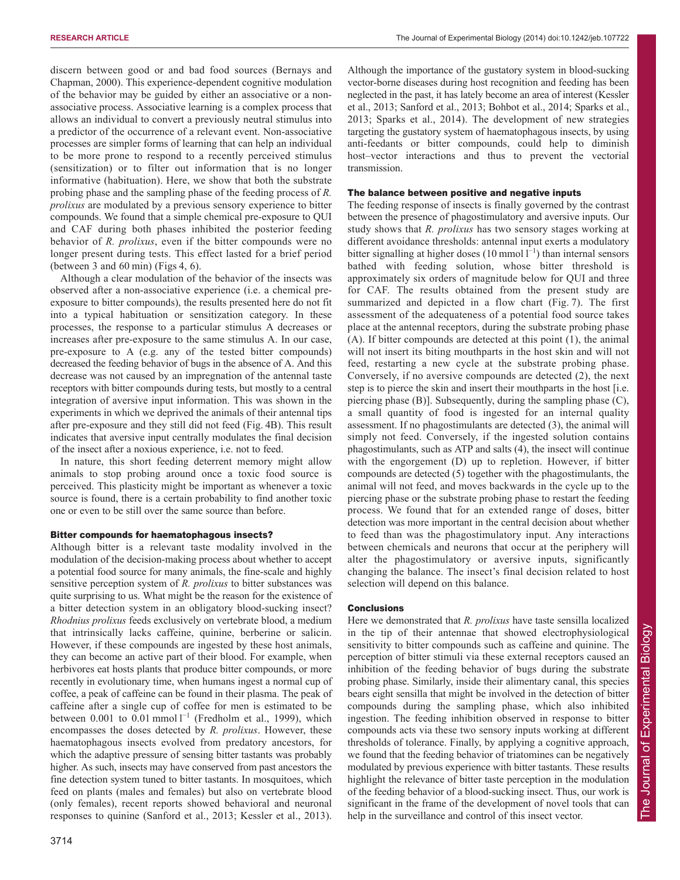discern between good or and bad food sources (Bernays and Chapman, 2000). This experience-dependent cognitive modulation of the behavior may be guided by either an associative or a nonassociative process. Associative learning is a complex process that allows an individual to convert a previously neutral stimulus into a predictor of the occurrence of a relevant event. Non-associative processes are simpler forms of learning that can help an individual to be more prone to respond to a recently perceived stimulus (sensitization) or to filter out information that is no longer informative (habituation). Here, we show that both the substrate probing phase and the sampling phase of the feeding process of *R. prolixus* are modulated by a previous sensory experience to bitter compounds. We found that a simple chemical pre-exposure to QUI and CAF during both phases inhibited the posterior feeding behavior of *R. prolixus*, even if the bitter compounds were no longer present during tests. This effect lasted for a brief period (between 3 and 60 min) (Figs 4, 6).

Although a clear modulation of the behavior of the insects was observed after a non-associative experience (i.e. a chemical preexposure to bitter compounds), the results presented here do not fit into a typical habituation or sensitization category. In these processes, the response to a particular stimulus A decreases or increases after pre-exposure to the same stimulus A. In our case, pre-exposure to A (e.g. any of the tested bitter compounds) decreased the feeding behavior of bugs in the absence of A. And this decrease was not caused by an impregnation of the antennal taste receptors with bitter compounds during tests, but mostly to a central integration of aversive input information. This was shown in the experiments in which we deprived the animals of their antennal tips after pre-exposure and they still did not feed (Fig. 4B). This result indicates that aversive input centrally modulates the final decision of the insect after a noxious experience, i.e. not to feed.

In nature, this short feeding deterrent memory might allow animals to stop probing around once a toxic food source is perceived. This plasticity might be important as whenever a toxic source is found, there is a certain probability to find another toxic one or even to be still over the same source than before.

# Bitter compounds for haematophagous insects?

Although bitter is a relevant taste modality involved in the modulation of the decision-making process about whether to accept a potential food source for many animals, the fine-scale and highly sensitive perception system of *R. prolixus* to bitter substances was quite surprising to us. What might be the reason for the existence of a bitter detection system in an obligatory blood-sucking insect? *Rhodnius prolixus* feeds exclusively on vertebrate blood, a medium that intrinsically lacks caffeine, quinine, berberine or salicin. However, if these compounds are ingested by these host animals, they can become an active part of their blood. For example, when herbivores eat hosts plants that produce bitter compounds, or more recently in evolutionary time, when humans ingest a normal cup of coffee, a peak of caffeine can be found in their plasma. The peak of caffeine after a single cup of coffee for men is estimated to be between 0.001 to 0.01 mmol  $I^{-1}$  (Fredholm et al., 1999), which encompasses the doses detected by *R. prolixus*. However, these haematophagous insects evolved from predatory ancestors, for which the adaptive pressure of sensing bitter tastants was probably higher. As such, insects may have conserved from past ancestors the fine detection system tuned to bitter tastants. In mosquitoes, which feed on plants (males and females) but also on vertebrate blood (only females), recent reports showed behavioral and neuronal responses to quinine (Sanford et al., 2013; Kessler et al., 2013).

3714

Although the importance of the gustatory system in blood-sucking vector-borne diseases during host recognition and feeding has been neglected in the past, it has lately become an area of interest (Kessler et al., 2013; Sanford et al., 2013; Bohbot et al., 2014; Sparks et al., 2013; Sparks et al., 2014). The development of new strategies targeting the gustatory system of haematophagous insects, by using anti-feedants or bitter compounds, could help to diminish host–vector interactions and thus to prevent the vectorial transmission.

# The balance between positive and negative inputs

The feeding response of insects is finally governed by the contrast between the presence of phagostimulatory and aversive inputs. Our study shows that *R. prolixus* has two sensory stages working at different avoidance thresholds: antennal input exerts a modulatory bitter signalling at higher doses  $(10 \text{ mmol } 1^{-1})$  than internal sensors bathed with feeding solution, whose bitter threshold is approximately six orders of magnitude below for QUI and three for CAF. The results obtained from the present study are summarized and depicted in a flow chart (Fig. 7). The first assessment of the adequateness of a potential food source takes place at the antennal receptors, during the substrate probing phase (A). If bitter compounds are detected at this point (1), the animal will not insert its biting mouthparts in the host skin and will not feed, restarting a new cycle at the substrate probing phase. Conversely, if no aversive compounds are detected (2), the next step is to pierce the skin and insert their mouthparts in the host [i.e. piercing phase (B)]. Subsequently, during the sampling phase (C), a small quantity of food is ingested for an internal quality assessment. If no phagostimulants are detected (3), the animal will simply not feed. Conversely, if the ingested solution contains phagostimulants, such as ATP and salts (4), the insect will continue with the engorgement (D) up to repletion. However, if bitter compounds are detected (5) together with the phagostimulants, the animal will not feed, and moves backwards in the cycle up to the piercing phase or the substrate probing phase to restart the feeding process. We found that for an extended range of doses, bitter detection was more important in the central decision about whether to feed than was the phagostimulatory input. Any interactions between chemicals and neurons that occur at the periphery will alter the phagostimulatory or aversive inputs, significantly changing the balance. The insect's final decision related to host selection will depend on this balance.

# **Conclusions**

Here we demonstrated that *R. prolixus* have taste sensilla localized in the tip of their antennae that showed electrophysiological sensitivity to bitter compounds such as caffeine and quinine. The perception of bitter stimuli via these external receptors caused an inhibition of the feeding behavior of bugs during the substrate probing phase. Similarly, inside their alimentary canal, this species bears eight sensilla that might be involved in the detection of bitter compounds during the sampling phase, which also inhibited ingestion. The feeding inhibition observed in response to bitter compounds acts via these two sensory inputs working at different thresholds of tolerance. Finally, by applying a cognitive approach, we found that the feeding behavior of triatomines can be negatively modulated by previous experience with bitter tastants. These results highlight the relevance of bitter taste perception in the modulation of the feeding behavior of a blood-sucking insect. Thus, our work is significant in the frame of the development of novel tools that can help in the surveillance and control of this insect vector.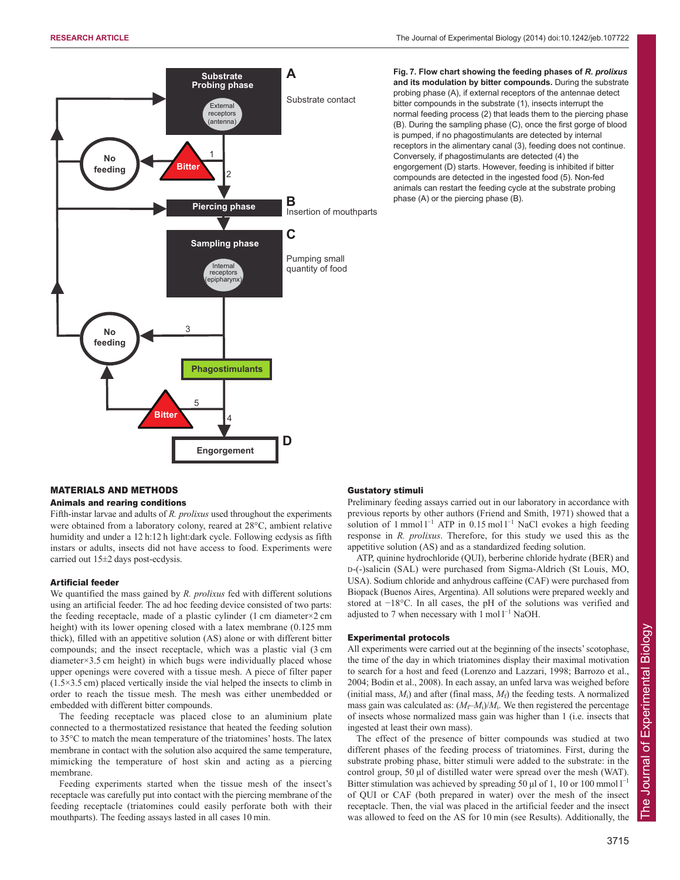



**Fig. 7. Flow chart showing the feeding phases of** *R. prolixus* **and its modulation by bitter compounds.** During the substrate probing phase (A), if external receptors of the antennae detect bitter compounds in the substrate (1), insects interrupt the normal feeding process (2) that leads them to the piercing phase (B). During the sampling phase (C), once the first gorge of blood is pumped, if no phagostimulants are detected by internal receptors in the alimentary canal (3), feeding does not continue. Conversely, if phagostimulants are detected (4) the engorgement (D) starts. However, feeding is inhibited if bitter compounds are detected in the ingested food (5). Non-fed animals can restart the feeding cycle at the substrate probing phase (A) or the piercing phase (B).

## MATERIALS AND METHODS

## Animals and rearing conditions

Fifth-instar larvae and adults of *R. prolixus* used throughout the experiments were obtained from a laboratory colony, reared at 28°C, ambient relative humidity and under a 12 h:12 h light:dark cycle. Following ecdysis as fifth instars or adults, insects did not have access to food. Experiments were carried out 15±2 days post-ecdysis.

## Artificial feeder

We quantified the mass gained by *R. prolixus* fed with different solutions using an artificial feeder. The ad hoc feeding device consisted of two parts: the feeding receptacle, made of a plastic cylinder (1 cm diameter×2 cm height) with its lower opening closed with a latex membrane (0.125 mm thick), filled with an appetitive solution (AS) alone or with different bitter compounds; and the insect receptacle, which was a plastic vial (3 cm diameter×3.5 cm height) in which bugs were individually placed whose upper openings were covered with a tissue mesh. A piece of filter paper (1.5×3.5 cm) placed vertically inside the vial helped the insects to climb in order to reach the tissue mesh. The mesh was either unembedded or embedded with different bitter compounds.

The feeding receptacle was placed close to an aluminium plate connected to a thermostatized resistance that heated the feeding solution to 35°C to match the mean temperature of the triatomines' hosts. The latex membrane in contact with the solution also acquired the same temperature, mimicking the temperature of host skin and acting as a piercing membrane.

Feeding experiments started when the tissue mesh of the insect's receptacle was carefully put into contact with the piercing membrane of the feeding receptacle (triatomines could easily perforate both with their mouthparts). The feeding assays lasted in all cases 10 min.

## Gustatory stimuli

Preliminary feeding assays carried out in our laboratory in accordance with previous reports by other authors (Friend and Smith, 1971) showed that a solution of 1 mmol  $l^{-1}$  ATP in 0.15 mol  $l^{-1}$  NaCl evokes a high feeding response in *R. prolixus*. Therefore, for this study we used this as the appetitive solution (AS) and as a standardized feeding solution.

ATP, quinine hydrochloride (QUI), berberine chloride hydrate (BER) and D-(-)salicin (SAL) were purchased from Sigma-Aldrich (St Louis, MO, USA). Sodium chloride and anhydrous caffeine (CAF) were purchased from Biopack (Buenos Aires, Argentina). All solutions were prepared weekly and stored at −18°C. In all cases, the pH of the solutions was verified and adjusted to 7 when necessary with  $1 \text{ mol } l^{-1}$  NaOH.

## Experimental protocols

All experiments were carried out at the beginning of the insects' scotophase, the time of the day in which triatomines display their maximal motivation to search for a host and feed (Lorenzo and Lazzari, 1998; Barrozo et al., 2004; Bodin et al., 2008). In each assay, an unfed larva was weighed before (initial mass,  $M_i$ ) and after (final mass,  $M_f$ ) the feeding tests. A normalized mass gain was calculated as:  $(M_f-M_i)/M_i$ . We then registered the percentage of insects whose normalized mass gain was higher than 1 (i.e. insects that ingested at least their own mass).

The effect of the presence of bitter compounds was studied at two different phases of the feeding process of triatomines. First, during the substrate probing phase, bitter stimuli were added to the substrate: in the control group, 50 μl of distilled water were spread over the mesh (WAT). Bitter stimulation was achieved by spreading 50  $\mu$ l of 1, 10 or 100 mmol l<sup>-1</sup> of QUI or CAF (both prepared in water) over the mesh of the insect receptacle. Then, the vial was placed in the artificial feeder and the insect was allowed to feed on the AS for 10 min (see Results). Additionally, the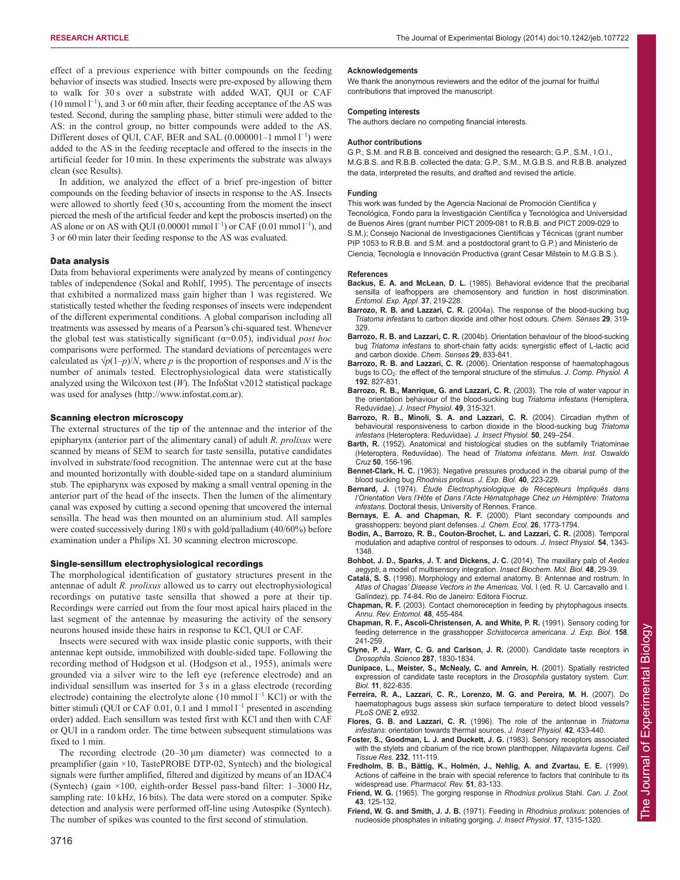effect of a previous experience with bitter compounds on the feeding behavior of insects was studied. Insects were pre-exposed by allowing them to walk for 30 s over a substrate with added WAT, QUI or CAF  $(10 \text{ mmol } 1^{-1})$ , and 3 or 60 min after, their feeding acceptance of the AS was tested. Second, during the sampling phase, bitter stimuli were added to the AS: in the control group, no bitter compounds were added to the AS. Different doses of QUI, CAF, BER and SAL  $(0.000001-1 \text{ mmol } 1^{-1})$  were added to the AS in the feeding receptacle and offered to the insects in the artificial feeder for 10 min. In these experiments the substrate was always clean (see Results).

In addition, we analyzed the effect of a brief pre-ingestion of bitter compounds on the feeding behavior of insects in response to the AS. Insects were allowed to shortly feed (30 s, accounting from the moment the insect pierced the mesh of the artificial feeder and kept the proboscis inserted) on the AS alone or on AS with QUI (0.00001 mmol  $l^{-1}$ ) or CAF (0.01 mmol  $l^{-1}$ ), and 3 or 60 min later their feeding response to the AS was evaluated.

## Data analysis

Data from behavioral experiments were analyzed by means of contingency tables of independence (Sokal and Rohlf, 1995). The percentage of insects that exhibited a normalized mass gain higher than 1 was registered. We statistically tested whether the feeding responses of insects were independent of the different experimental conditions. A global comparison including all treatments was assessed by means of a Pearson's chi-squared test. Whenever the global test was statistically significant (α=0.05), individual *post hoc* comparisons were performed. The standard deviations of percentages were calculated as  $\sqrt{p(1-p)/N}$ , where *p* is the proportion of responses and *N* is the number of animals tested. Electrophysiological data were statistically analyzed using the Wilcoxon test (*W*). The InfoStat v2012 statistical package was used for analyses (http://www.infostat.com.ar).

### Scanning electron microscopy

The external structures of the tip of the antennae and the interior of the epipharynx (anterior part of the alimentary canal) of adult *R. prolixus* were scanned by means of SEM to search for taste sensilla, putative candidates involved in substrate/food recognition. The antennae were cut at the base and mounted horizontally with double-sided tape on a standard aluminium stub. The epipharynx was exposed by making a small ventral opening in the anterior part of the head of the insects. Then the lumen of the alimentary canal was exposed by cutting a second opening that uncovered the internal sensilla. The head was then mounted on an aluminium stud. All samples were coated successively during 180 s with gold/palladium (40/60%) before examination under a Philips XL 30 scanning electron microscope.

## Single-sensillum electrophysiological recordings

The morphological identification of gustatory structures present in the antennae of adult *R. prolixus* allowed us to carry out electrophysiological recordings on putative taste sensilla that showed a pore at their tip. Recordings were carried out from the four most apical hairs placed in the last segment of the antennae by measuring the activity of the sensory neurons housed inside these hairs in response to KCl, QUI or CAF.

Insects were secured with wax inside plastic conic supports, with their antennae kept outside, immobilized with double-sided tape. Following the recording method of Hodgson et al. (Hodgson et al., 1955), animals were grounded via a silver wire to the left eye (reference electrode) and an individual sensillum was inserted for 3 s in a glass electrode (recording electrode) containing the electrolyte alone  $(10 \text{ mmol } l^{-1} \text{ KCl})$  or with the bitter stimuli (QUI or CAF 0.01, 0.1 and 1 mmol  $l^{-1}$  presented in ascending order) added. Each sensillum was tested first with KCl and then with CAF or QUI in a random order. The time between subsequent stimulations was fixed to 1 min.

The recording electrode  $(20-30 \,\mu m)$  diameter) was connected to a preamplifier (gain ×10, TastePROBE DTP-02, Syntech) and the biological signals were further amplified, filtered and digitized by means of an IDAC4 (Syntech) (gain ×100, eighth-order Bessel pass-band filter: 1–3000 Hz, sampling rate: 10 kHz, 16 bits). The data were stored on a computer. Spike detection and analysis were performed off-line using Autospike (Syntech). The number of spikes was counted to the first second of stimulation.

We thank the anonymous reviewers and the editor of the journal for fruitful contributions that improved the manuscript.

#### **Competing interests**

The authors declare no competing financial interests.

#### **Author contributions**

G.P., S.M. and R.B.B. conceived and designed the research; G.P., S.M., I.O.I., M.G.B.S. and R.B.B. collected the data; G.P., S.M., M.G.B.S. and R.B.B. analyzed the data, interpreted the results, and drafted and revised the article.

#### **Funding**

This work was funded by the Agencia Nacional de Promoción Científica y Tecnológica, Fondo para la Investigación Científica y Tecnológica and Universidad de Buenos Aires (grant number PICT 2009-081 to R.B.B. and PICT 2009-029 to S.M.); Consejo Nacional de Investigaciones Científicas y Técnicas (grant number PIP 1053 to R.B.B. and S.M. and a postdoctoral grant to G.P.) and Ministerio de Ciencia, Tecnología e Innovación Productiva (grant Cesar Milstein to M.G.B.S.).

#### **References**

- **Backus, E. A. and McLean, D. L.** (1985). Behavioral evidence that the precibarial sensilla of leafhoppers are chemosensory and function in host discrimination. *Entomol. Exp. Appl.* **37**, 219-228.
- **Barrozo, R. B. and Lazzari, C. R.** (2004a). The response of the blood-sucking bug *Triatoma infestans* to carbon dioxide and other host odours. *Chem. Senses* **29**, 319- 329.
- **Barrozo, R. B. and Lazzari, C. R.** (2004b). Orientation behaviour of the blood-sucking bug *Triatoma infestans* to short-chain fatty acids: synergistic effect of L-lactic acid and carbon dioxide. *Chem. Senses* **29**, 833-841.
- **Barrozo, R. B. and Lazzari, C. R.** (2006). Orientation response of haematophagous bugs to CO2: the effect of the temporal structure of the stimulus. *J. Comp. Physiol. A* **192**, 827-831.
- **Barrozo, R. B., Manrique, G. and Lazzari, C. R.** (2003). The role of water vapour in the orientation behaviour of the blood-sucking bug *Triatoma infestans* (Hemiptera, Reduviidae). *J. Insect Physiol.* **49**, 315-321.
- Barrozo, R. B., Minoli, S. A. and Lazzari, C. R. (2004). Circadian rhythm of behavioural responsiveness to carbon dioxide in the blood-sucking bug *Triatoma infestans* (Heteroptera: Reduviidae). *J. Insect Physiol.* **50**, 249–254.
- **Barth, R.** (1952). Anatomical and histological studies on the subfamily Triatominae (Heteroptera, Reduviidae). The head of *Triatoma infestans*. *Mem. Inst. Oswaldo Cruz* **50**, 156-196.
- **Bennet-Clark, H. C.** (1963). Negative pressures produced in the cibarial pump of the blood sucking bug *Rhodnius prolixus*. *J. Exp. Biol.* **40**, 223-229.
- **Bernard, J.** (1974). *Étude Électrophysiologique de Récepteurs Impliqués dans l'Orientation Vers l'Hôte et Dans l'Acte Hématophage Chez un Hémiptère: Triatoma infestans.* Doctoral thesis, University of Rennes, France.
- **Bernays, E. A. and Chapman, R. F.** (2000). Plant secondary compounds and grasshoppers: beyond plant defenses. *J. Chem. Ecol.* **26**, 1773-1794.
- **Bodin, A., Barrozo, R. B., Couton-Brochet, L. and Lazzari, C. R.** (2008). Temporal modulation and adaptive control of responses to odours. *J. Insect Physiol.* **54**, 1343- 1348.
- **Bohbot, J. D., Sparks, J. T. and Dickens, J. C.** (2014). The maxillary palp of *Aedes aegypti*, a model of multisensory integration. *Insect Biochem. Mol. Biol.* **48**, 29-39.
- **Catalá, S. S.** (1998). Morphology and external anatomy. B: Antennae and rostrum. In *Atlas of Chagas' Disease Vectors in the Americas*, Vol. I (ed. R. U. Carcavallo and I. Galíndez), pp. 74-84. Rio de Janeiro: Editora Fiocruz.
- **Chapman, R. F.** (2003). Contact chemoreception in feeding by phytophagous insects. *Annu. Rev. Entomol.* **48**, 455-484.
- **Chapman, R. F., Ascoli-Christensen, A. and White, P. R.** (1991). Sensory coding for feeding deterrence in the grasshopper *Schistocerca americana*. *J. Exp. Biol.* **158**, 241-259.
- **Clyne, P. J., Warr, C. G. and Carlson, J. R.** (2000). Candidate taste receptors in *Drosophila*. *Science* **287**, 1830-1834.
- **Dunipace, L., Meister, S., McNealy, C. and Amrein, H.** (2001). Spatially restricted expression of candidate taste receptors in the *Drosophila* gustatory system. *Curr. Biol.* **11**, 822-835.
- **Ferreira, R. A., Lazzari, C. R., Lorenzo, M. G. and Pereira, M. H.** (2007). Do haematophagous bugs assess skin surface temperature to detect blood vessels? *PLoS ONE* **2**, e932.
- **Flores, G. B. and Lazzari, C. R.** (1996). The role of the antennae in *Triatoma infestans*: orientation towards thermal sources. *J. Insect Physiol.* **42**, 433-440.
- **Foster, S., Goodman, L. J. and Duckett, J. G.** (1983). Sensory receptors associated with the stylets and cibarium of the rice brown planthopper, *Nilapavarta lugens*. *Cell Tissue Res.* **232**, 111-119.
- **Fredholm, B. B., Bättig, K., Holmén, J., Nehlig, A. and Zvartau, E. E.** (1999). Actions of caffeine in the brain with special reference to factors that contribute to its widespread use. *Pharmacol. Rev.* **51**, 83-133.
- **Friend, W. G.** (1965). The gorging response in *Rhodnius prolixus* Stahl. *Can. J. Zool.* **43**, 125-132.
- **Friend, W. G. and Smith, J. J. B.** (1971). Feeding in *Rhodnius prolixus*: potencies of nucleoside phosphates in initiating gorging. *J. Insect Physiol.* **17**, 1315-1320.